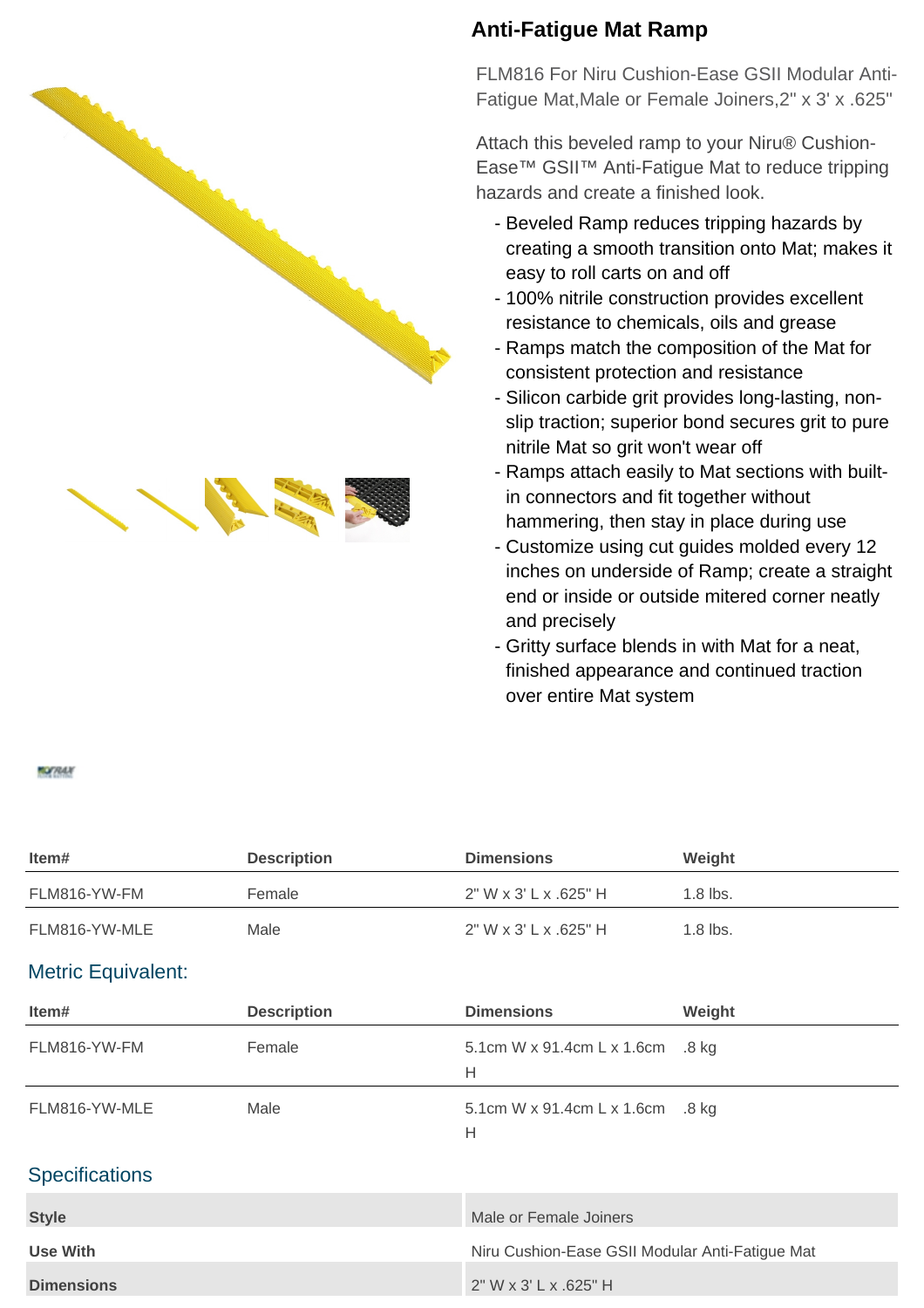



## **Anti-Fatigue Mat Ramp**

FLM816 For Niru Cushion-Ease GSII Modular Anti-Fatigue Mat,Male or Female Joiners,2" x 3' x .625"

Attach this beveled ramp to your Niru® Cushion-Ease™ GSII™ Anti-Fatigue Mat to reduce tripping hazards and create a finished look.

- Beveled Ramp reduces tripping hazards by creating a smooth transition onto Mat; makes it easy to roll carts on and off
- 100% nitrile construction provides excellent resistance to chemicals, oils and grease
- Ramps match the composition of the Mat for consistent protection and resistance
- Silicon carbide grit provides long-lasting, nonslip traction; superior bond secures grit to pure nitrile Mat so grit won't wear off
- Ramps attach easily to Mat sections with builtin connectors and fit together without hammering, then stay in place during use
- Customize using cut guides molded every 12 inches on underside of Ramp; create a straight end or inside or outside mitered corner neatly and precisely
- Gritty surface blends in with Mat for a neat, finished appearance and continued traction over entire Mat system

## **MOFRAIN**

| Item#                     | <b>Description</b> | <b>Dimensions</b>                               | Weight     |
|---------------------------|--------------------|-------------------------------------------------|------------|
| FLM816-YW-FM              | Female             | 2" W x 3' L x .625" H                           | $1.8$ lbs. |
| FLM816-YW-MLE             | Male               | 2" W x 3' L x .625" H                           | 1.8 lbs.   |
| <b>Metric Equivalent:</b> |                    |                                                 |            |
| Item#                     | <b>Description</b> | <b>Dimensions</b>                               | Weight     |
| FLM816-YW-FM              | Female             | 5.1cm W x 91.4cm L x 1.6cm<br>H                 | .8 kg      |
| FLM816-YW-MLE             | Male               | 5.1cm W x 91.4cm L x 1.6cm .8 kg<br>Н           |            |
| <b>Specifications</b>     |                    |                                                 |            |
| <b>Style</b>              |                    | Male or Female Joiners                          |            |
| <b>Use With</b>           |                    | Niru Cushion-Ease GSII Modular Anti-Fatigue Mat |            |
| <b>Dimensions</b>         |                    | $2"$ W x 3' L x .625" H                         |            |